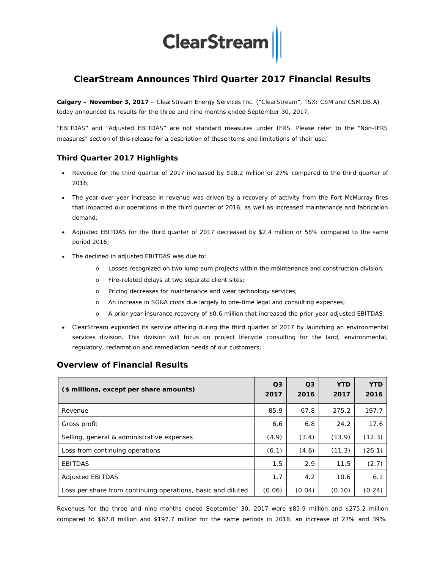

# **ClearStream Announces Third Quarter 2017 Financial Results**

**Calgary – November 3, 2017** – ClearStream Energy Services Inc. ("ClearStream", TSX: CSM and CSM.DB.A) today announced its results for the three and nine months ended September 30, 2017.

"EBITDAS" and "Adjusted EBITDAS" are not standard measures under IFRS. Please refer to the "Non-IFRS measures" section of this release for a description of these items and limitations of their use.

## **Third Quarter 2017 Highlights**

- Revenue for the third quarter of 2017 increased by \$18.2 million or 27% compared to the third quarter of 2016;
- The year-over-year increase in revenue was driven by a recovery of activity from the Fort McMurray fires that impacted our operations in the third quarter of 2016, as well as increased maintenance and fabrication demand;
- Adjusted EBITDAS for the third quarter of 2017 decreased by \$2.4 million or 58% compared to the same period 2016;
- The declined in adjusted EBITDAS was due to:
	- o Losses recognized on two lump sum projects within the maintenance and construction division;
	- o Fire-related delays at two separate client sites;
	- o Pricing decreases for maintenance and wear technology services;
	- o An increase in SG&A costs due largely to one-time legal and consulting expenses;
	- o A prior year insurance recovery of \$0.6 million that increased the prior year adjusted EBITDAS;
- ClearStream expanded its service offering during the third quarter of 2017 by launching an environmental services division. This division will focus on project lifecycle consulting for the land, environmental, regulatory, reclamation and remediation needs of our customers;

| (\$ millions, except per share amounts)                      | O <sub>3</sub><br>2017 | Q <sub>3</sub><br>2016 | <b>YTD</b><br>2017 | <b>YTD</b><br>2016 |
|--------------------------------------------------------------|------------------------|------------------------|--------------------|--------------------|
| Revenue                                                      | 85.9                   | 67.8                   | 275.2              | 197.7              |
| Gross profit                                                 | 6.6                    | 6.8                    | 24.2               | 17.6               |
| Selling, general & administrative expenses                   | (4.9)                  | (3.4)                  | (13.9)             | (12.3)             |
| Loss from continuing operations                              | (6.1)                  | (4.6)                  | (11.3)             | (26.1)             |
| <b>EBITDAS</b>                                               | 1.5                    | 2.9                    | 11.5               | (2.7)              |
| <b>Adjusted EBITDAS</b>                                      | 1.7                    | 4.2                    | 10.6               | 6.1                |
| Loss per share from continuing operations, basic and diluted | (0.06)                 | (0.04)                 | (0.10)             | (0.24)             |

## **Overview of Financial Results**

Revenues for the three and nine months ended September 30, 2017 were \$85.9 million and \$275.2 million compared to \$67.8 million and \$197.7 million for the same periods in 2016, an increase of 27% and 39%.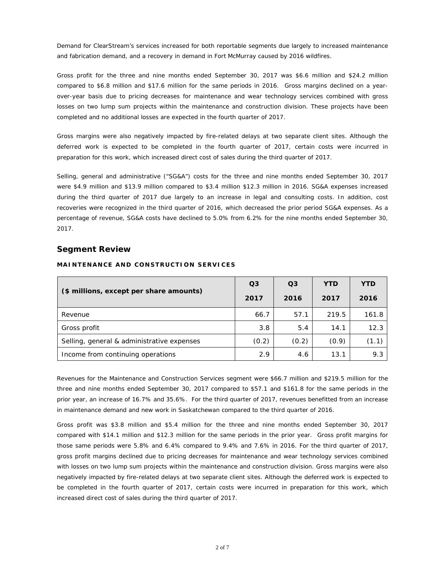Demand for ClearStream's services increased for both reportable segments due largely to increased maintenance and fabrication demand, and a recovery in demand in Fort McMurray caused by 2016 wildfires.

Gross profit for the three and nine months ended September 30, 2017 was \$6.6 million and \$24.2 million compared to \$6.8 million and \$17.6 million for the same periods in 2016. Gross margins declined on a yearover-year basis due to pricing decreases for maintenance and wear technology services combined with gross losses on two lump sum projects within the maintenance and construction division. These projects have been completed and no additional losses are expected in the fourth quarter of 2017.

Gross margins were also negatively impacted by fire-related delays at two separate client sites. Although the deferred work is expected to be completed in the fourth quarter of 2017, certain costs were incurred in preparation for this work, which increased direct cost of sales during the third quarter of 2017.

Selling, general and administrative ("SG&A") costs for the three and nine months ended September 30, 2017 were \$4.9 million and \$13.9 million compared to \$3.4 million \$12.3 million in 2016. SG&A expenses increased during the third quarter of 2017 due largely to an increase in legal and consulting costs. In addition, cost recoveries were recognized in the third quarter of 2016, which decreased the prior period SG&A expenses. As a percentage of revenue, SG&A costs have declined to 5.0% from 6.2% for the nine months ended September 30, 2017.

#### **Segment Review**

|                                            | Q <sub>3</sub> | $\Omega$ 3 | <b>YTD</b> | <b>YTD</b> |  |
|--------------------------------------------|----------------|------------|------------|------------|--|
| (\$ millions, except per share amounts)    | 2017           | 2016       | 2017       | 2016       |  |
| Revenue                                    | 66.7           | 57.1       | 219.5      | 161.8      |  |
| Gross profit                               | 3.8            | 5.4        | 14.1       | 12.3       |  |
| Selling, general & administrative expenses | (0.2)          | (0.2)      | (0.9)      | (1.1)      |  |
| Income from continuing operations          | 2.9            | 4.6        | 13.1       | 9.3        |  |

#### **MAINTENANCE AND CONSTRUCTION SERVICES**

Revenues for the Maintenance and Construction Services segment were \$66.7 million and \$219.5 million for the three and nine months ended September 30, 2017 compared to \$57.1 and \$161.8 for the same periods in the prior year, an increase of 16.7% and 35.6%. For the third quarter of 2017, revenues benefitted from an increase in maintenance demand and new work in Saskatchewan compared to the third quarter of 2016.

Gross profit was \$3.8 million and \$5.4 million for the three and nine months ended September 30, 2017 compared with \$14.1 million and \$12.3 million for the same periods in the prior year. Gross profit margins for those same periods were 5.8% and 6.4% compared to 9.4% and 7.6% in 2016. For the third quarter of 2017, gross profit margins declined due to pricing decreases for maintenance and wear technology services combined with losses on two lump sum projects within the maintenance and construction division. Gross margins were also negatively impacted by fire-related delays at two separate client sites. Although the deferred work is expected to be completed in the fourth quarter of 2017, certain costs were incurred in preparation for this work, which increased direct cost of sales during the third quarter of 2017.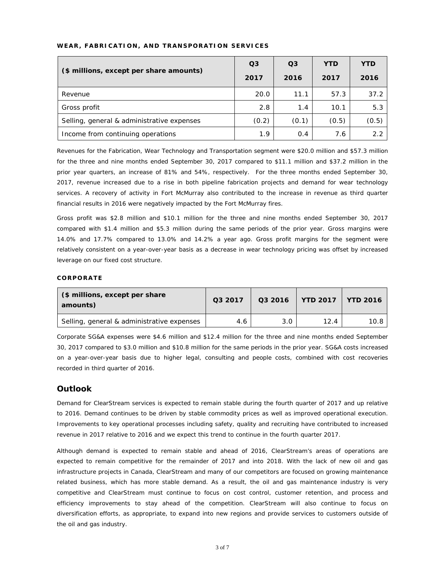| WEAR, FABRICATION, AND TRANSPORATION SERVICES |  |  |
|-----------------------------------------------|--|--|
|-----------------------------------------------|--|--|

|                                            | Q <sub>3</sub> | Q <sub>3</sub> | <b>YTD</b> | <b>YTD</b> |  |
|--------------------------------------------|----------------|----------------|------------|------------|--|
| (\$ millions, except per share amounts)    | 2017           | 2016           | 2017       | 2016       |  |
| Revenue                                    | 20.0           | 11.1           | 57.3       | 37.2       |  |
| Gross profit                               | 2.8            | 1.4            | 10.1       | 5.3        |  |
| Selling, general & administrative expenses | (0.2)          | (0.1)          | (0.5)      | (0.5)      |  |
| Income from continuing operations          | 1.9            | 0.4            | 7.6        | 2.2        |  |

Revenues for the Fabrication, Wear Technology and Transportation segment were \$20.0 million and \$57.3 million for the three and nine months ended September 30, 2017 compared to \$11.1 million and \$37.2 million in the prior year quarters, an increase of 81% and 54%, respectively. For the three months ended September 30, 2017, revenue increased due to a rise in both pipeline fabrication projects and demand for wear technology services. A recovery of activity in Fort McMurray also contributed to the increase in revenue as third quarter financial results in 2016 were negatively impacted by the Fort McMurray fires.

Gross profit was \$2.8 million and \$10.1 million for the three and nine months ended September 30, 2017 compared with \$1.4 million and \$5.3 million during the same periods of the prior year. Gross margins were 14.0% and 17.7% compared to 13.0% and 14.2% a year ago. Gross profit margins for the segment were relatively consistent on a year-over-year basis as a decrease in wear technology pricing was offset by increased leverage on our fixed cost structure.

#### **CORPORATE**

| (\$ millions, except per share<br>amounts) | Q3 2017 | Q3 2016 | $\mid$ YTD 2017 $\mid$ YTD 2016 |      |  |
|--------------------------------------------|---------|---------|---------------------------------|------|--|
| Selling, general & administrative expenses | 4.6     | 3.0     | 12.4                            | 10.8 |  |

Corporate SG&A expenses were \$4.6 million and \$12.4 million for the three and nine months ended September 30, 2017 compared to \$3.0 million and \$10.8 million for the same periods in the prior year. SG&A costs increased on a year-over-year basis due to higher legal, consulting and people costs, combined with cost recoveries recorded in third quarter of 2016.

## **Outlook**

Demand for ClearStream services is expected to remain stable during the fourth quarter of 2017 and up relative to 2016. Demand continues to be driven by stable commodity prices as well as improved operational execution. Improvements to key operational processes including safety, quality and recruiting have contributed to increased revenue in 2017 relative to 2016 and we expect this trend to continue in the fourth quarter 2017.

Although demand is expected to remain stable and ahead of 2016, ClearStream's areas of operations are expected to remain competitive for the remainder of 2017 and into 2018. With the lack of new oil and gas infrastructure projects in Canada, ClearStream and many of our competitors are focused on growing maintenance related business, which has more stable demand. As a result, the oil and gas maintenance industry is very competitive and ClearStream must continue to focus on cost control, customer retention, and process and efficiency improvements to stay ahead of the competition. ClearStream will also continue to focus on diversification efforts, as appropriate, to expand into new regions and provide services to customers outside of the oil and gas industry.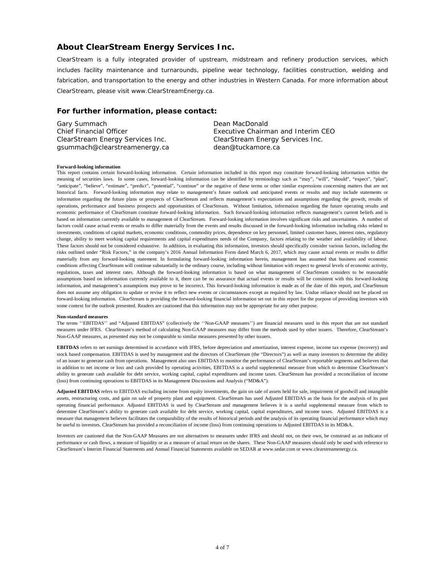#### **About ClearStream Energy Services Inc.**

ClearStream is a fully integrated provider of upstream, midstream and refinery production services, which includes facility maintenance and turnarounds, pipeline wear technology, facilities construction, welding and fabrication, and transportation to the energy and other industries in Western Canada. For more information about ClearStream, please visit [www.ClearStreamEnergy.ca.](http://www.clearstreamenergy.ca/)

#### **For further information, please contact:**

| Gary Summach                     | Dean MacDonald                     |
|----------------------------------|------------------------------------|
| <b>Chief Financial Officer</b>   | Executive Chairman and Interim CEO |
| ClearStream Energy Services Inc. | ClearStream Energy Services Inc.   |
| qsummach@clearstreamenergy.ca    | dean@tuckamore.ca                  |

#### **Forward-looking information**

This report contains certain forward-looking information. Certain information included in this report may constitute forward-looking information within the meaning of securities laws. In some cases, forward-looking information can be identified by terminology such as "may", "will", "should", "expect", "plan", "anticipate", "believe", "estimate", "predict", "potential", "continue" or the negative of these terms or other similar expressions concerning matters that are not historical facts. Forward-looking information may relate to management's future outlook and anticipated events or results and may include statements or information regarding the future plans or prospects of ClearStream and reflects management's expectations and assumptions regarding the growth, results of operations, performance and business prospects and opportunities of ClearStream. Without limitation, information regarding the future operating results and economic performance of ClearStream constitute forward-looking information. Such forward-looking information reflects management's current beliefs and is based on information currently available to management of ClearStream. Forward-looking information involves significant risks and uncertainties. A number of factors could cause actual events or results to differ materially from the events and results discussed in the forward-looking information including risks related to investments, conditions of capital markets, economic conditions, commodity prices, dependence on key personnel, limited customer bases, interest rates, regulatory change, ability to meet working capital requirements and capital expenditures needs of the Company, factors relating to the weather and availability of labour. These factors should not be considered exhaustive. In addition, in evaluating this information, investors should specifically consider various factors, including the risks outlined under "Risk Factors," in the company's 2016 Annual Information Form dated March 6, 2017, which may cause actual events or results to differ materially from any forward-looking statement. In formulating forward-looking information herein, management has assumed that business and economic conditions affecting ClearStream will continue substantially in the ordinary course, including without limitation with respect to general levels of economic activity, regulations, taxes and interest rates. Although the forward-looking information is based on what management of ClearStream considers to be reasonable assumptions based on information currently available to it, there can be no assurance that actual events or results will be consistent with this forward-looking information, and management's assumptions may prove to be incorrect. This forward-looking information is made as of the date of this report, and ClearStream does not assume any obligation to update or revise it to reflect new events or circumstances except as required by law. Undue reliance should not be placed on forward-looking information. ClearStream is providing the forward-looking financial information set out in this report for the purpose of providing investors with some context for the outlook presented. Readers are cautioned that this information may not be appropriate for any other purpose.

#### **Non-standard measures**

The terms ''EBITDAS'' and "Adjusted EBITDAS" (collectively the ''Non-GAAP measures'') are financial measures used in this report that are not standard measures under IFRS. ClearStream's method of calculating Non-GAAP measures may differ from the methods used by other issuers. Therefore, ClearStream's Non-GAAP measures, as presented may not be comparable to similar measures presented by other issuers.

**EBITDAS** refers to net earnings determined in accordance with IFRS, before depreciation and amortization, interest expense, income tax expense (recovery) and stock based compensation. EBITDAS is used by management and the directors of ClearStream (the "Directors") as well as many investors to determine the ability of an issuer to generate cash from operations. Management also uses EBITDAS to monitor the performance of ClearStream's reportable segments and believes that in addition to net income or loss and cash provided by operating activities, EBITDAS is a useful supplemental measure from which to determine ClearStream's ability to generate cash available for debt service, working capital, capital expenditures and income taxes. ClearStream has provided a reconciliation of income (loss) from continuing operations to EBITDAS in its Management Discussions and Analysis ("MD&A").

**Adjusted EBITDAS** refers to EBITDAS excluding income from equity investments, the gain on sale of assets held for sale, impairment of goodwill and intangible assets, restructuring costs, and gain on sale of property plant and equipment. ClearStream has used Adjusted EBITDAS as the basis for the analysis of its past operating financial performance. Adjusted EBITDAS is used by ClearStream and management believes it is a useful supplemental measure from which to determine ClearStream's ability to generate cash available for debt service, working capital, capital expenditures, and income taxes. Adjusted EBITDAS is a measure that management believes facilitates the comparability of the results of historical periods and the analysis of its operating financial performance which may be useful to investors. ClearStream has provided a reconciliation of income (loss) from continuing operations to Adjusted EBITDAS in its MD&A.

Investors are cautioned that the Non-GAAP Measures are not alternatives to measures under IFRS and should not, on their own, be construed as an indicator of performance or cash flows, a measure of liquidity or as a measure of actual return on the shares. These Non-GAAP measures should only be used with reference to ClearStream's Interim Financial Statements and Annual Financial Statements available on SEDAR a[t www.sedar.com](http://www.sedar.com/) or www.clearstreamenergy.ca.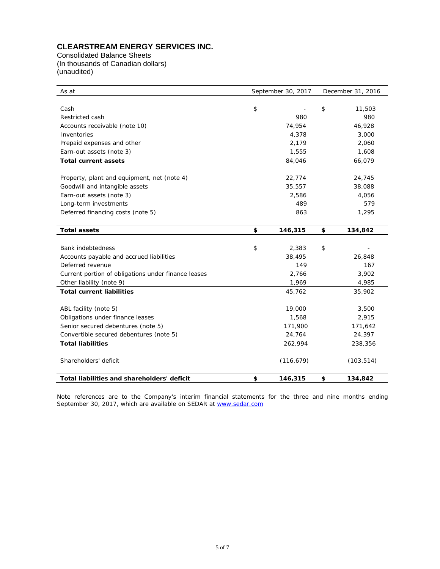# **CLEARSTREAM ENERGY SERVICES INC.**

Consolidated Balance Sheets (In thousands of Canadian dollars) (unaudited)

| As at                                               | September 30, 2017 | December 31, 2016 |            |  |  |  |
|-----------------------------------------------------|--------------------|-------------------|------------|--|--|--|
|                                                     |                    |                   |            |  |  |  |
| Cash                                                | \$                 | \$                | 11,503     |  |  |  |
| Restricted cash                                     | 980                |                   | 980        |  |  |  |
| Accounts receivable (note 10)                       | 74,954             |                   | 46,928     |  |  |  |
| Inventories                                         | 4,378              |                   | 3,000      |  |  |  |
| Prepaid expenses and other                          | 2,179              |                   | 2,060      |  |  |  |
| Earn-out assets (note 3)                            | 1,555              |                   | 1,608      |  |  |  |
| <b>Total current assets</b>                         | 84,046             |                   | 66,079     |  |  |  |
| Property, plant and equipment, net (note 4)         | 22,774             |                   | 24,745     |  |  |  |
| Goodwill and intangible assets                      | 35,557             |                   | 38,088     |  |  |  |
| Earn-out assets (note 3)                            | 2,586              |                   | 4,056      |  |  |  |
| Long-term investments                               | 489                |                   | 579        |  |  |  |
| Deferred financing costs (note 5)                   | 863                |                   | 1,295      |  |  |  |
| <b>Total assets</b>                                 | \$<br>146,315      | \$                | 134,842    |  |  |  |
|                                                     |                    |                   |            |  |  |  |
| <b>Bank indebtedness</b>                            | \$<br>2,383        | \$                |            |  |  |  |
| Accounts payable and accrued liabilities            | 38,495             |                   | 26,848     |  |  |  |
| Deferred revenue                                    | 149                |                   | 167        |  |  |  |
| Current portion of obligations under finance leases | 2,766              |                   | 3,902      |  |  |  |
| Other liability (note 9)                            | 1,969              |                   | 4,985      |  |  |  |
| <b>Total current liabilities</b>                    | 45,762             |                   | 35,902     |  |  |  |
| ABL facility (note 5)                               | 19,000             |                   | 3,500      |  |  |  |
| Obligations under finance leases                    | 1,568              |                   | 2,915      |  |  |  |
| Senior secured debentures (note 5)                  | 171,900            |                   | 171,642    |  |  |  |
| Convertible secured debentures (note 5)             | 24,764             |                   | 24,397     |  |  |  |
| <b>Total liabilities</b>                            | 262,994            |                   | 238,356    |  |  |  |
| Shareholders' deficit                               | (116, 679)         |                   | (103, 514) |  |  |  |
| Total liabilities and shareholders' deficit         | \$<br>146,315      | \$                | 134,842    |  |  |  |

Note references are to the Company's interim financial statements for the three and nine months ending September 30, 2017, which are available on SEDAR at [www.sedar.com](http://www.sedar.com/)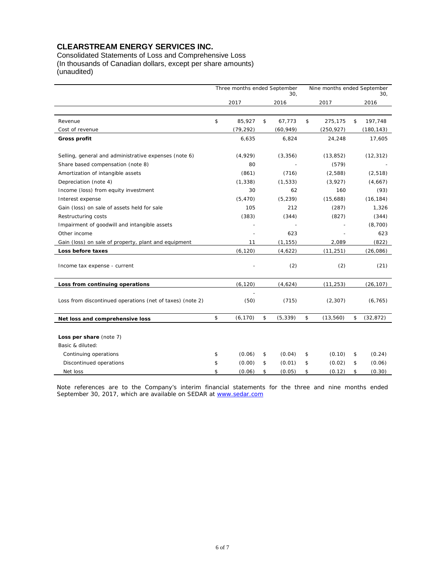## **CLEARSTREAM ENERGY SERVICES INC.**

Consolidated Statements of Loss and Comprehensive Loss (In thousands of Canadian dollars, except per share amounts) (unaudited)

|                                                                 | Three months ended September<br>30, |                   | Nine months ended September |          | 30,                |    |                 |
|-----------------------------------------------------------------|-------------------------------------|-------------------|-----------------------------|----------|--------------------|----|-----------------|
|                                                                 |                                     | 2017              | 2016                        |          | 2017               |    | 2016            |
|                                                                 |                                     |                   |                             |          |                    |    |                 |
| Revenue                                                         | \$                                  | 85,927            | \$<br>67,773                | \$       | 275,175            | \$ | 197,748         |
| Cost of revenue                                                 |                                     | (79, 292)         | (60, 949)                   |          | (250, 927)         |    | (180, 143)      |
| <b>Gross profit</b>                                             |                                     | 6,635             | 6,824                       |          | 24,248             |    | 17,605          |
|                                                                 |                                     |                   |                             |          |                    |    |                 |
| Selling, general and administrative expenses (note 6)           |                                     | (4,929)           | (3, 356)                    |          | (13, 852)          |    | (12, 312)       |
| Share based compensation (note 8)                               |                                     | 80                |                             |          | (579)              |    |                 |
| Amortization of intangible assets<br>Depreciation (note 4)      |                                     | (861)<br>(1, 338) | (716)<br>(1, 533)           |          | (2,588)<br>(3,927) |    | (2, 518)        |
|                                                                 |                                     | 30                | 62                          |          | 160                |    | (4,667)<br>(93) |
| Income (loss) from equity investment                            |                                     | (5, 470)          | (5, 239)                    |          |                    |    | (16, 184)       |
| Interest expense<br>Gain (loss) on sale of assets held for sale |                                     | 105               | 212                         | (15,688) |                    |    | 1,326           |
| Restructuring costs                                             |                                     | (383)             | (344)                       |          | (287)<br>(827)     |    | (344)           |
| Impairment of goodwill and intangible assets                    |                                     |                   |                             |          |                    |    | (8,700)         |
| Other income                                                    |                                     |                   | 623                         |          |                    |    | 623             |
| Gain (loss) on sale of property, plant and equipment            |                                     | 11                | (1, 155)                    |          | 2,089              |    | (822)           |
| Loss before taxes                                               |                                     | (6, 120)          | (4,622)                     |          |                    |    |                 |
|                                                                 |                                     |                   |                             |          | (11, 251)          |    | (26,086)        |
| Income tax expense - current                                    |                                     |                   | (2)                         |          | (2)                |    | (21)            |
| Loss from continuing operations                                 |                                     | (6, 120)          | (4,624)                     |          | (11, 253)          |    | (26, 107)       |
| Loss from discontinued operations (net of taxes) (note 2)       |                                     | (50)              | (715)                       |          | (2, 307)           |    | (6, 765)        |
| Net loss and comprehensive loss                                 | \$                                  | (6, 170)          | \$<br>(5, 339)              | \$       | (13, 560)          | \$ | (32, 872)       |
|                                                                 |                                     |                   |                             |          |                    |    |                 |
| Loss per share (note 7)                                         |                                     |                   |                             |          |                    |    |                 |
| Basic & diluted:                                                |                                     |                   |                             |          |                    |    |                 |
| Continuing operations                                           | \$                                  | (0.06)            | \$<br>(0.04)                | \$       | (0.10)             | \$ | (0.24)          |
| Discontinued operations                                         | \$                                  | (0.00)            | \$<br>(0.01)                | \$       | (0.02)             | \$ | (0.06)          |
| Net loss                                                        | \$                                  | (0.06)            | \$<br>(0.05)                | \$       | (0.12)             | \$ | (0.30)          |

Note references are to the Company's interim financial statements for the three and nine months ended September 30, 2017, which are available on SEDAR at [www.sedar.com](http://www.sedar.com/)